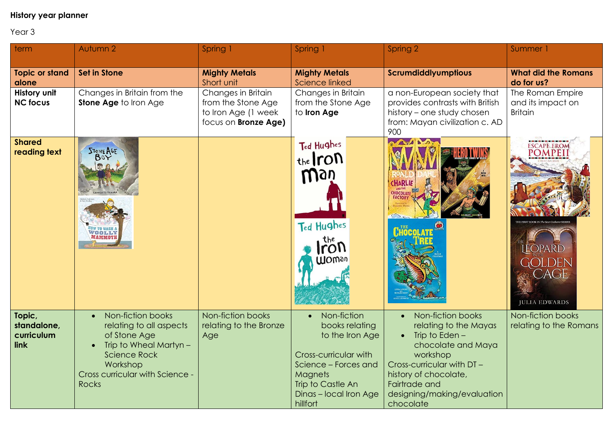## **History year planner**

## Year 3

| term                                        | Autumn 2                                                                                                                                                                     | Spring 1                                                                                       | Spring 1                                                                                                                                                                       | Spring 2                                                                                                                                                                                                            | Summer 1                                                                                           |
|---------------------------------------------|------------------------------------------------------------------------------------------------------------------------------------------------------------------------------|------------------------------------------------------------------------------------------------|--------------------------------------------------------------------------------------------------------------------------------------------------------------------------------|---------------------------------------------------------------------------------------------------------------------------------------------------------------------------------------------------------------------|----------------------------------------------------------------------------------------------------|
| <b>Topic or stand</b><br>alone              | <b>Set in Stone</b>                                                                                                                                                          | <b>Mighty Metals</b><br>Short unit                                                             | <b>Mighty Metals</b><br><b>Science linked</b>                                                                                                                                  | Scrumdiddlyumptious                                                                                                                                                                                                 | <b>What did the Romans</b><br>do for us?                                                           |
| History unit<br><b>NC focus</b>             | Changes in Britain from the<br>Stone Age to Iron Age                                                                                                                         | Changes in Britain<br>from the Stone Age<br>to Iron Age (1 week<br>focus on <b>Bronze Age)</b> | Changes in Britain<br>from the Stone Age<br>to Iron Age                                                                                                                        | a non-European society that<br>provides contrasts with British<br>history - one study chosen<br>from: Mayan civilization c. AD<br>900                                                                               | The Roman Empire<br>and its impact on<br><b>Britain</b>                                            |
| <b>Shared</b><br>reading text               | STONE AGE<br>HOW TO WASH A WOOLLY                                                                                                                                            |                                                                                                | Ted Hughes<br>the <i>ron</i><br>Way<br>Ted Hughes<br>the<br>rON<br><b>UlOman</b>                                                                                               | $\sim$<br><b>CHARLIE</b><br>CHOCOLATI                                                                                                                                                                               | <b>ESCAPE FROM</b><br><b>POMPEI</b><br><b>EOPARD</b><br>DEN<br><b>CAGE</b><br><b>JULIA EDWARDS</b> |
| Topic,<br>standalone,<br>curriculum<br>link | Non-fiction books<br>relating to all aspects<br>of Stone Age<br>Trip to Wheal Martyn -<br><b>Science Rock</b><br>Workshop<br>Cross curricular with Science -<br><b>Rocks</b> | Non-fiction books<br>relating to the Bronze<br>Age                                             | Non-fiction<br>books relating<br>to the Iron Age<br>Cross-curricular with<br>Science - Forces and<br><b>Magnets</b><br>Trip to Castle An<br>Dinas - local Iron Age<br>hillfort | Non-fiction books<br>relating to the Mayas<br>Trip to Eden $-$<br>chocolate and Maya<br>workshop<br>Cross-curricular with DT-<br>history of chocolate,<br>Fairtrade and<br>designing/making/evaluation<br>chocolate | Non-fiction books<br>relating to the Romans                                                        |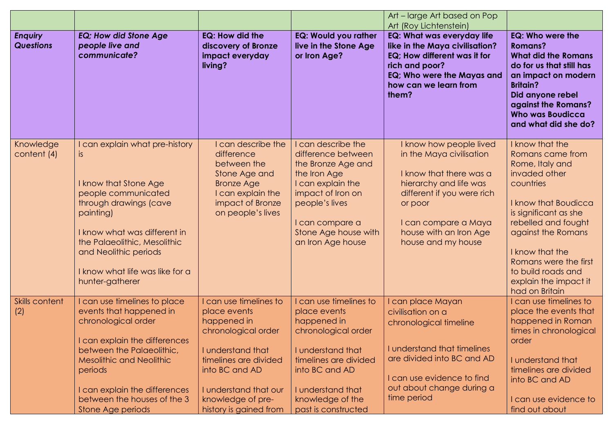| <b>Enquiry</b><br><b>Questions</b> | <b>EQ</b> ; How did Stone Age<br>people live and<br>communicate?                                                                                                                                                                                                                | EQ: How did the<br>discovery of Bronze<br>impact everyday<br>living?                                                                                                                                                 | <b>EQ: Would you rather</b><br>live in the Stone Age<br>or Iron Age?                                                                                                                                         | Art – large Art based on Pop<br>Art (Roy Lichtenstein)<br><b>EQ: What was everyday life</b><br>like in the Maya civilisation?<br>EQ; How different was it for<br>rich and poor?<br>EQ; Who were the Mayas and<br>how can we learn from<br>them? | EQ: Who were the<br><b>Romans?</b><br><b>What did the Romans</b><br>do for us that still has<br>an impact on modern<br><b>Britain?</b><br>Did anyone rebel<br>against the Romans?<br><b>Who was Boudicca</b>                                                                                                            |
|------------------------------------|---------------------------------------------------------------------------------------------------------------------------------------------------------------------------------------------------------------------------------------------------------------------------------|----------------------------------------------------------------------------------------------------------------------------------------------------------------------------------------------------------------------|--------------------------------------------------------------------------------------------------------------------------------------------------------------------------------------------------------------|-------------------------------------------------------------------------------------------------------------------------------------------------------------------------------------------------------------------------------------------------|-------------------------------------------------------------------------------------------------------------------------------------------------------------------------------------------------------------------------------------------------------------------------------------------------------------------------|
| Knowledge<br>content (4)           | I can explain what pre-history<br>IS.<br>I know that Stone Age<br>people communicated<br>through drawings (cave<br>painting)<br>I know what was different in<br>the Palaeolithic, Mesolithic<br>and Neolithic periods<br>I know what life was like for a<br>hunter-gatherer     | I can describe the<br>difference<br>between the<br>Stone Age and<br><b>Bronze Age</b><br>I can explain the<br>impact of Bronze<br>on people's lives                                                                  | I can describe the<br>difference between<br>the Bronze Age and<br>the Iron Age<br>I can explain the<br>impact of Iron on<br>people's lives<br>I can compare a<br>Stone Age house with<br>an Iron Age house   | I know how people lived<br>in the Maya civilisation<br>I know that there was a<br>hierarchy and life was<br>different if you were rich<br>or poor<br>I can compare a Maya<br>house with an Iron Age<br>house and my house                       | and what did she do?<br>I know that the<br>Romans came from<br>Rome, Italy and<br>invaded other<br>countries<br>I know that Boudicca<br>is significant as she<br>rebelled and fought<br>against the Romans<br>I know that the<br>Romans were the first<br>to build roads and<br>explain the impact it<br>had on Britain |
| <b>Skills content</b><br>(2)       | I can use timelines to place<br>events that happened in<br>chronological order<br>I can explain the differences<br>between the Palaeolithic,<br><b>Mesolithic and Neolithic</b><br>periods<br>I can explain the differences<br>between the houses of the 3<br>Stone Age periods | I can use timelines to<br>place events<br>happened in<br>chronological order<br>I understand that<br>timelines are divided<br>into BC and AD<br>I understand that our<br>knowledge of pre-<br>history is gained from | I can use timelines to<br>place events<br>happened in<br>chronological order<br>I understand that<br>timelines are divided<br>into BC and AD<br>I understand that<br>knowledge of the<br>past is constructed | I can place Mayan<br>civilisation on a<br>chronological timeline<br>I understand that timelines<br>are divided into BC and AD<br>I can use evidence to find<br>out about change during a<br>time period                                         | I can use timelines to<br>place the events that<br>happened in Roman<br>times in chronological<br>order<br>I understand that<br>timelines are divided<br>into BC and AD<br>I can use evidence to<br>find out about                                                                                                      |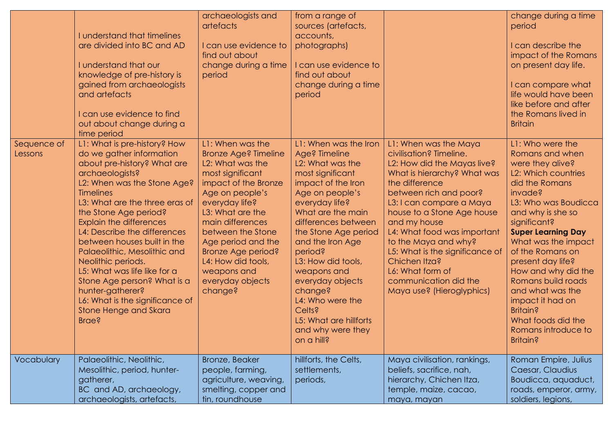|                        | I understand that timelines<br>are divided into BC and AD<br>I understand that our<br>knowledge of pre-history is<br>gained from archaeologists<br>and artefacts<br>I can use evidence to find<br>out about change during a<br>time period                                                                                                                                                                                                                                                                                                     | archaeologists and<br>artefacts<br>I can use evidence to<br>find out about<br>change during a time<br>period                                                                                                                                                                                                                      | from a range of<br>sources (artefacts,<br>accounts,<br>photographs)<br>I can use evidence to<br>find out about<br>change during a time<br>period                                                                                                                                                                                                                                                                   |                                                                                                                                                                                                                                                                                                                                                                                                                           | change during a time<br>period<br>I can describe the<br>impact of the Romans<br>on present day life.<br>I can compare what<br>life would have been<br>like before and after<br>the Romans lived in<br><b>Britain</b>                                                                                                                                                                                                                          |
|------------------------|------------------------------------------------------------------------------------------------------------------------------------------------------------------------------------------------------------------------------------------------------------------------------------------------------------------------------------------------------------------------------------------------------------------------------------------------------------------------------------------------------------------------------------------------|-----------------------------------------------------------------------------------------------------------------------------------------------------------------------------------------------------------------------------------------------------------------------------------------------------------------------------------|--------------------------------------------------------------------------------------------------------------------------------------------------------------------------------------------------------------------------------------------------------------------------------------------------------------------------------------------------------------------------------------------------------------------|---------------------------------------------------------------------------------------------------------------------------------------------------------------------------------------------------------------------------------------------------------------------------------------------------------------------------------------------------------------------------------------------------------------------------|-----------------------------------------------------------------------------------------------------------------------------------------------------------------------------------------------------------------------------------------------------------------------------------------------------------------------------------------------------------------------------------------------------------------------------------------------|
| Sequence of<br>Lessons | L1: What is pre-history? How<br>do we gather information<br>about pre-history? What are<br>archaeologists?<br>L2: When was the Stone Age?<br><b>Timelines</b><br>L3: What are the three eras of<br>the Stone Age period?<br><b>Explain the differences</b><br>L4: Describe the differences<br>between houses built in the<br>Palaeolithic, Mesolithic and<br>Neolithic periods.<br>L5: What was life like for a<br>Stone Age person? What is a<br>hunter-gatherer?<br>L6: What is the significance of<br>Stone Henge and Skara<br><b>Brae?</b> | L1: When was the<br><b>Bronze Age? Timeline</b><br>L2: What was the<br>most significant<br>impact of the Bronze<br>Age on people's<br>everyday life?<br>L3: What are the<br>main differences<br>between the Stone<br>Age period and the<br>Bronze Age period?<br>L4: How did tools,<br>weapons and<br>everyday objects<br>change? | L1: When was the Iron<br>Age? Timeline<br>L2: What was the<br>most significant<br>impact of the Iron<br>Age on people's<br>everyday life?<br>What are the main<br>differences between<br>the Stone Age period<br>and the Iron Age<br>period?<br>L3: How did tools,<br>weapons and<br>everyday objects<br>change?<br>L4: Who were the<br><b>Celts?</b><br>L5: What are hillforts<br>and why were they<br>on a hill? | L1: When was the Maya<br>civilisation? Timeline.<br>L2: How did the Mayas live?<br>What is hierarchy? What was<br>the difference<br>between rich and poor?<br>L3: I can compare a Maya<br>house to a Stone Age house<br>and my house<br>L4: What food was important<br>to the Maya and why?<br>L5: What is the significance of<br>Chichen Itza?<br>L6: What form of<br>communication did the<br>Maya use? (Hieroglyphics) | L1: Who were the<br>Romans and when<br>were they alive?<br>L2: Which countries<br>did the Romans<br>invade?<br>L3: Who was Boudicca<br>and why is she so<br>significant?<br><b>Super Learning Day</b><br>What was the impact<br>of the Romans on<br>present day life?<br>How and why did the<br>Romans build roads<br>and what was the<br>impact it had on<br><b>Britain?</b><br>What foods did the<br>Romans introduce to<br><b>Britain?</b> |
| Vocabulary             | Palaeolithic, Neolithic,<br>Mesolithic, period, hunter-<br>gatherer,<br>BC and AD, archaeology,<br>archaeologists, artefacts,                                                                                                                                                                                                                                                                                                                                                                                                                  | Bronze, Beaker<br>people, farming,<br>agriculture, weaving,<br>smelting, copper and<br>tin, roundhouse                                                                                                                                                                                                                            | hillforts, the Celts,<br>settlements,<br>periods,                                                                                                                                                                                                                                                                                                                                                                  | Maya civilisation, rankings,<br>beliefs, sacrifice, nah,<br>hierarchy, Chichen Itza,<br>temple, maize, cacao,<br>maya, mayan                                                                                                                                                                                                                                                                                              | Roman Empire, Julius<br>Caesar, Claudius<br>Boudicca, aquaduct,<br>roads, emperor, army,<br>soldiers, legions,                                                                                                                                                                                                                                                                                                                                |